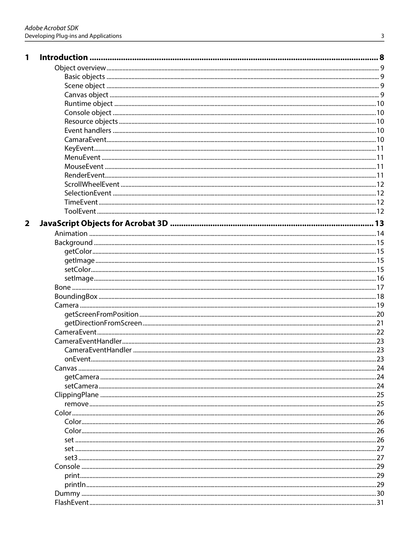| $\mathbf{1}$            |  |
|-------------------------|--|
|                         |  |
|                         |  |
|                         |  |
|                         |  |
|                         |  |
|                         |  |
|                         |  |
|                         |  |
|                         |  |
|                         |  |
|                         |  |
|                         |  |
|                         |  |
|                         |  |
|                         |  |
|                         |  |
|                         |  |
|                         |  |
| $\overline{\mathbf{2}}$ |  |
|                         |  |
|                         |  |
|                         |  |
|                         |  |
|                         |  |
|                         |  |
|                         |  |
|                         |  |
|                         |  |
|                         |  |
|                         |  |
|                         |  |
|                         |  |
|                         |  |
|                         |  |
|                         |  |
|                         |  |
|                         |  |
|                         |  |
|                         |  |
|                         |  |
|                         |  |
|                         |  |
|                         |  |
|                         |  |
|                         |  |
|                         |  |
|                         |  |
|                         |  |
|                         |  |
|                         |  |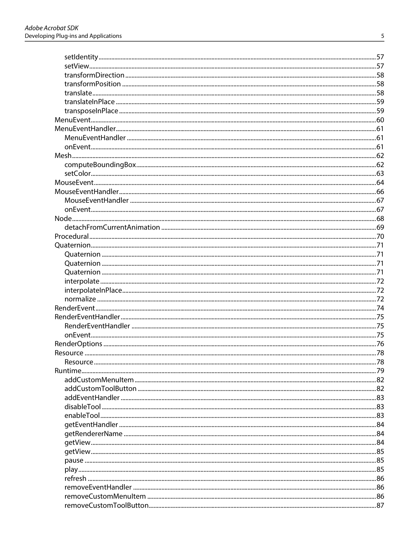| Resource |  |
|----------|--|
|          |  |
|          |  |
|          |  |
|          |  |
|          |  |
|          |  |
|          |  |
|          |  |
|          |  |
|          |  |
|          |  |
|          |  |
|          |  |
|          |  |
|          |  |
|          |  |